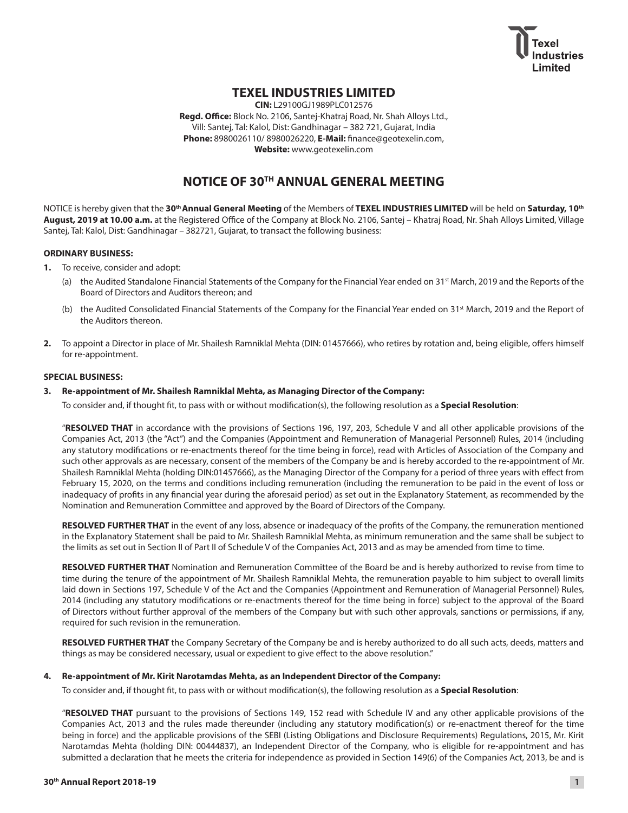

## **TEXEL INDUSTRIES LIMITED**

**CIN:** L29100GJ1989PLC012576 **Regd. Office:** Block No. 2106, Santej-Khatraj Road, Nr. Shah Alloys Ltd., Vill: Santej, Tal: Kalol, Dist: Gandhinagar – 382 721, Gujarat, India **Phone:** 8980026110/ 8980026220, **E-Mail:** finance@geotexelin.com, **Website:** www.geotexelin.com

## **NOTICE OF 30TH ANNUAL GENERAL MEETING**

NOTICE is hereby given that the **30th Annual General Meeting** of the Members of **TEXEL INDUSTRIES LIMITED** will be held on **Saturday, 10th August, 2019 at 10.00 a.m.** at the Registered Office of the Company at Block No. 2106, Santej – Khatraj Road, Nr. Shah Alloys Limited, Village Santej, Tal: Kalol, Dist: Gandhinagar – 382721, Gujarat, to transact the following business:

#### **ORDINARY BUSINESS:**

- **1.** To receive, consider and adopt:
	- (a) the Audited Standalone Financial Statements of the Company for the Financial Year ended on 31<sup>st</sup> March, 2019 and the Reports of the Board of Directors and Auditors thereon; and
	- (b) the Audited Consolidated Financial Statements of the Company for the Financial Year ended on 31<sup>st</sup> March, 2019 and the Report of the Auditors thereon.
- **2.** To appoint a Director in place of Mr. Shailesh Ramniklal Mehta (DIN: 01457666), who retires by rotation and, being eligible, offers himself for re-appointment.

#### **SPECIAL BUSINESS:**

#### **3. Re-appointment of Mr. Shailesh Ramniklal Mehta, as Managing Director of the Company:**

To consider and, if thought fit, to pass with or without modification(s), the following resolution as a **Special Resolution**:

"**RESOLVED THAT** in accordance with the provisions of Sections 196, 197, 203, Schedule V and all other applicable provisions of the Companies Act, 2013 (the "Act") and the Companies (Appointment and Remuneration of Managerial Personnel) Rules, 2014 (including any statutory modifications or re-enactments thereof for the time being in force), read with Articles of Association of the Company and such other approvals as are necessary, consent of the members of the Company be and is hereby accorded to the re-appointment of Mr. Shailesh Ramniklal Mehta (holding DIN:01457666), as the Managing Director of the Company for a period of three years with effect from February 15, 2020, on the terms and conditions including remuneration (including the remuneration to be paid in the event of loss or inadequacy of profits in any financial year during the aforesaid period) as set out in the Explanatory Statement, as recommended by the Nomination and Remuneration Committee and approved by the Board of Directors of the Company.

 **RESOLVED FURTHER THAT** in the event of any loss, absence or inadequacy of the profits of the Company, the remuneration mentioned in the Explanatory Statement shall be paid to Mr. Shailesh Ramniklal Mehta, as minimum remuneration and the same shall be subject to the limits as set out in Section II of Part II of Schedule V of the Companies Act, 2013 and as may be amended from time to time.

 **RESOLVED FURTHER THAT** Nomination and Remuneration Committee of the Board be and is hereby authorized to revise from time to time during the tenure of the appointment of Mr. Shailesh Ramniklal Mehta, the remuneration payable to him subject to overall limits laid down in Sections 197, Schedule V of the Act and the Companies (Appointment and Remuneration of Managerial Personnel) Rules, 2014 (including any statutory modifications or re-enactments thereof for the time being in force) subject to the approval of the Board of Directors without further approval of the members of the Company but with such other approvals, sanctions or permissions, if any, required for such revision in the remuneration.

**RESOLVED FURTHER THAT** the Company Secretary of the Company be and is hereby authorized to do all such acts, deeds, matters and things as may be considered necessary, usual or expedient to give effect to the above resolution."

#### **4. Re-appointment of Mr. Kirit Narotamdas Mehta, as an Independent Director of the Company:**

To consider and, if thought fit, to pass with or without modification(s), the following resolution as a **Special Resolution**:

"**RESOLVED THAT** pursuant to the provisions of Sections 149, 152 read with Schedule IV and any other applicable provisions of the Companies Act, 2013 and the rules made thereunder (including any statutory modification(s) or re-enactment thereof for the time being in force) and the applicable provisions of the SEBI (Listing Obligations and Disclosure Requirements) Regulations, 2015, Mr. Kirit Narotamdas Mehta (holding DIN: 00444837), an Independent Director of the Company, who is eligible for re-appointment and has submitted a declaration that he meets the criteria for independence as provided in Section 149(6) of the Companies Act, 2013, be and is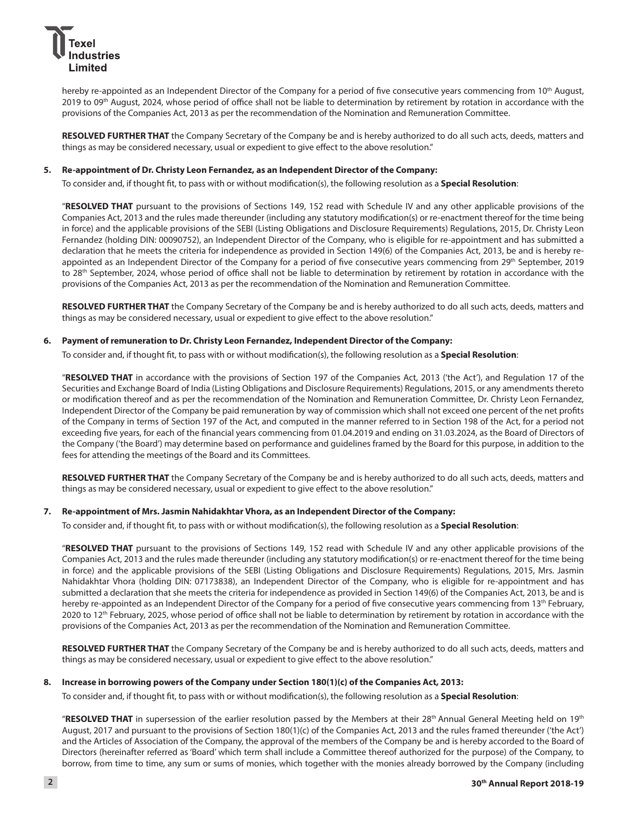

hereby re-appointed as an Independent Director of the Company for a period of five consecutive years commencing from 10<sup>th</sup> August, 2019 to 09<sup>th</sup> August, 2024, whose period of office shall not be liable to determination by retirement by rotation in accordance with the provisions of the Companies Act, 2013 as per the recommendation of the Nomination and Remuneration Committee.

**RESOLVED FURTHER THAT** the Company Secretary of the Company be and is hereby authorized to do all such acts, deeds, matters and things as may be considered necessary, usual or expedient to give effect to the above resolution."

#### **5. Re-appointment of Dr. Christy Leon Fernandez, as an Independent Director of the Company:**

To consider and, if thought fit, to pass with or without modification(s), the following resolution as a **Special Resolution**:

"**RESOLVED THAT** pursuant to the provisions of Sections 149, 152 read with Schedule IV and any other applicable provisions of the Companies Act, 2013 and the rules made thereunder (including any statutory modification(s) or re-enactment thereof for the time being in force) and the applicable provisions of the SEBI (Listing Obligations and Disclosure Requirements) Regulations, 2015, Dr. Christy Leon Fernandez (holding DIN: 00090752), an Independent Director of the Company, who is eligible for re-appointment and has submitted a declaration that he meets the criteria for independence as provided in Section 149(6) of the Companies Act, 2013, be and is hereby reappointed as an Independent Director of the Company for a period of five consecutive years commencing from 29th September, 2019 to 28<sup>th</sup> September, 2024, whose period of office shall not be liable to determination by retirement by rotation in accordance with the provisions of the Companies Act, 2013 as per the recommendation of the Nomination and Remuneration Committee.

 **RESOLVED FURTHER THAT** the Company Secretary of the Company be and is hereby authorized to do all such acts, deeds, matters and things as may be considered necessary, usual or expedient to give effect to the above resolution."

#### **6. Payment of remuneration to Dr. Christy Leon Fernandez, Independent Director of the Company:**

To consider and, if thought fit, to pass with or without modification(s), the following resolution as a **Special Resolution**:

"**RESOLVED THAT** in accordance with the provisions of Section 197 of the Companies Act, 2013 ('the Act'), and Regulation 17 of the Securities and Exchange Board of India (Listing Obligations and Disclosure Requirements) Regulations, 2015, or any amendments thereto or modification thereof and as per the recommendation of the Nomination and Remuneration Committee, Dr. Christy Leon Fernandez, Independent Director of the Company be paid remuneration by way of commission which shall not exceed one percent of the net profits of the Company in terms of Section 197 of the Act, and computed in the manner referred to in Section 198 of the Act, for a period not exceeding five years, for each of the financial years commencing from 01.04.2019 and ending on 31.03.2024, as the Board of Directors of the Company ('the Board') may determine based on performance and guidelines framed by the Board for this purpose, in addition to the fees for attending the meetings of the Board and its Committees.

 **RESOLVED FURTHER THAT** the Company Secretary of the Company be and is hereby authorized to do all such acts, deeds, matters and things as may be considered necessary, usual or expedient to give effect to the above resolution."

#### **7. Re-appointment of Mrs. Jasmin Nahidakhtar Vhora, as an Independent Director of the Company:**

To consider and, if thought fit, to pass with or without modification(s), the following resolution as a **Special Resolution**:

"**RESOLVED THAT** pursuant to the provisions of Sections 149, 152 read with Schedule IV and any other applicable provisions of the Companies Act, 2013 and the rules made thereunder (including any statutory modification(s) or re-enactment thereof for the time being in force) and the applicable provisions of the SEBI (Listing Obligations and Disclosure Requirements) Regulations, 2015, Mrs. Jasmin Nahidakhtar Vhora (holding DIN: 07173838), an Independent Director of the Company, who is eligible for re-appointment and has submitted a declaration that she meets the criteria for independence as provided in Section 149(6) of the Companies Act, 2013, be and is hereby re-appointed as an Independent Director of the Company for a period of five consecutive years commencing from 13<sup>th</sup> February, 2020 to 12<sup>th</sup> February, 2025, whose period of office shall not be liable to determination by retirement by rotation in accordance with the provisions of the Companies Act, 2013 as per the recommendation of the Nomination and Remuneration Committee.

**RESOLVED FURTHER THAT** the Company Secretary of the Company be and is hereby authorized to do all such acts, deeds, matters and things as may be considered necessary, usual or expedient to give effect to the above resolution."

#### **8. Increase in borrowing powers of the Company under Section 180(1)(c) of the Companies Act, 2013:**

To consider and, if thought fit, to pass with or without modification(s), the following resolution as a **Special Resolution**:

"**RESOLVED THAT** in supersession of the earlier resolution passed by the Members at their 28th Annual General Meeting held on 19th August, 2017 and pursuant to the provisions of Section 180(1)(c) of the Companies Act, 2013 and the rules framed thereunder ('the Act') and the Articles of Association of the Company, the approval of the members of the Company be and is hereby accorded to the Board of Directors (hereinafter referred as 'Board' which term shall include a Committee thereof authorized for the purpose) of the Company, to borrow, from time to time, any sum or sums of monies, which together with the monies already borrowed by the Company (including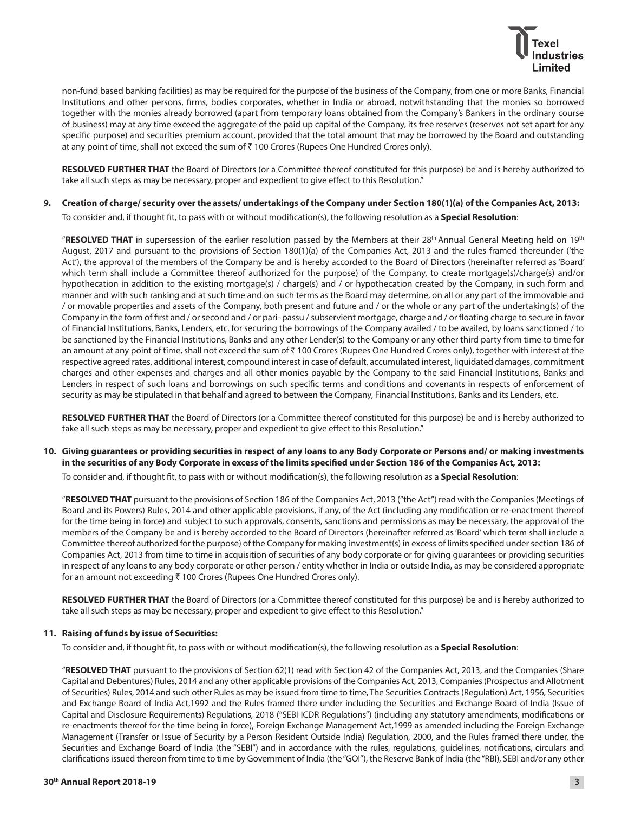

non-fund based banking facilities) as may be required for the purpose of the business of the Company, from one or more Banks, Financial Institutions and other persons, firms, bodies corporates, whether in India or abroad, notwithstanding that the monies so borrowed together with the monies already borrowed (apart from temporary loans obtained from the Company's Bankers in the ordinary course of business) may at any time exceed the aggregate of the paid up capital of the Company, its free reserves (reserves not set apart for any specific purpose) and securities premium account, provided that the total amount that may be borrowed by the Board and outstanding at any point of time, shall not exceed the sum of ₹ 100 Crores (Rupees One Hundred Crores only).

**RESOLVED FURTHER THAT** the Board of Directors (or a Committee thereof constituted for this purpose) be and is hereby authorized to take all such steps as may be necessary, proper and expedient to give effect to this Resolution."

**9. Creation of charge/ security over the assets/ undertakings of the Company under Section 180(1)(a) of the Companies Act, 2013:**

To consider and, if thought fit, to pass with or without modification(s), the following resolution as a **Special Resolution**:

"**RESOLVED THAT** in supersession of the earlier resolution passed by the Members at their 28th Annual General Meeting held on 19th August, 2017 and pursuant to the provisions of Section 180(1)(a) of the Companies Act, 2013 and the rules framed thereunder ('the Act'), the approval of the members of the Company be and is hereby accorded to the Board of Directors (hereinafter referred as 'Board' which term shall include a Committee thereof authorized for the purpose) of the Company, to create mortgage(s)/charge(s) and/or hypothecation in addition to the existing mortgage(s) / charge(s) and / or hypothecation created by the Company, in such form and manner and with such ranking and at such time and on such terms as the Board may determine, on all or any part of the immovable and / or movable properties and assets of the Company, both present and future and / or the whole or any part of the undertaking(s) of the Company in the form of first and / or second and / or pari- passu / subservient mortgage, charge and / or floating charge to secure in favor of Financial Institutions, Banks, Lenders, etc. for securing the borrowings of the Company availed / to be availed, by loans sanctioned / to be sanctioned by the Financial Institutions, Banks and any other Lender(s) to the Company or any other third party from time to time for an amount at any point of time, shall not exceed the sum of ₹ 100 Crores (Rupees One Hundred Crores only), together with interest at the respective agreed rates, additional interest, compound interest in case of default, accumulated interest, liquidated damages, commitment charges and other expenses and charges and all other monies payable by the Company to the said Financial Institutions, Banks and Lenders in respect of such loans and borrowings on such specific terms and conditions and covenants in respects of enforcement of security as may be stipulated in that behalf and agreed to between the Company, Financial Institutions, Banks and its Lenders, etc.

 **RESOLVED FURTHER THAT** the Board of Directors (or a Committee thereof constituted for this purpose) be and is hereby authorized to take all such steps as may be necessary, proper and expedient to give effect to this Resolution."

**10. Giving guarantees or providing securities in respect of any loans to any Body Corporate or Persons and/ or making investments in the securities of any Body Corporate in excess of the limits specified under Section 186 of the Companies Act, 2013:**

To consider and, if thought fit, to pass with or without modification(s), the following resolution as a **Special Resolution**:

"**RESOLVED THAT** pursuant to the provisions of Section 186 of the Companies Act, 2013 ("the Act") read with the Companies (Meetings of Board and its Powers) Rules, 2014 and other applicable provisions, if any, of the Act (including any modification or re-enactment thereof for the time being in force) and subject to such approvals, consents, sanctions and permissions as may be necessary, the approval of the members of the Company be and is hereby accorded to the Board of Directors (hereinafter referred as 'Board' which term shall include a Committee thereof authorized for the purpose) of the Company for making investment(s) in excess of limits specified under section 186 of Companies Act, 2013 from time to time in acquisition of securities of any body corporate or for giving guarantees or providing securities in respect of any loans to any body corporate or other person / entity whether in India or outside India, as may be considered appropriate for an amount not exceeding  $\bar{\tau}$  100 Crores (Rupees One Hundred Crores only).

**RESOLVED FURTHER THAT** the Board of Directors (or a Committee thereof constituted for this purpose) be and is hereby authorized to take all such steps as may be necessary, proper and expedient to give effect to this Resolution."

#### **11. Raising of funds by issue of Securities:**

To consider and, if thought fit, to pass with or without modification(s), the following resolution as a **Special Resolution**:

"**RESOLVED THAT** pursuant to the provisions of Section 62(1) read with Section 42 of the Companies Act, 2013, and the Companies (Share Capital and Debentures) Rules, 2014 and any other applicable provisions of the Companies Act, 2013, Companies (Prospectus and Allotment of Securities) Rules, 2014 and such other Rules as may be issued from time to time, The Securities Contracts (Regulation) Act, 1956, Securities and Exchange Board of India Act,1992 and the Rules framed there under including the Securities and Exchange Board of India (Issue of Capital and Disclosure Requirements) Regulations, 2018 ("SEBI ICDR Regulations") (including any statutory amendments, modifications or re-enactments thereof for the time being in force), Foreign Exchange Management Act,1999 as amended including the Foreign Exchange Management (Transfer or Issue of Security by a Person Resident Outside India) Regulation, 2000, and the Rules framed there under, the Securities and Exchange Board of India (the "SEBI") and in accordance with the rules, regulations, guidelines, notifications, circulars and clarifications issued thereon from time to time by Government of India (the "GOI"), the Reserve Bank of India (the "RBI), SEBI and/or any other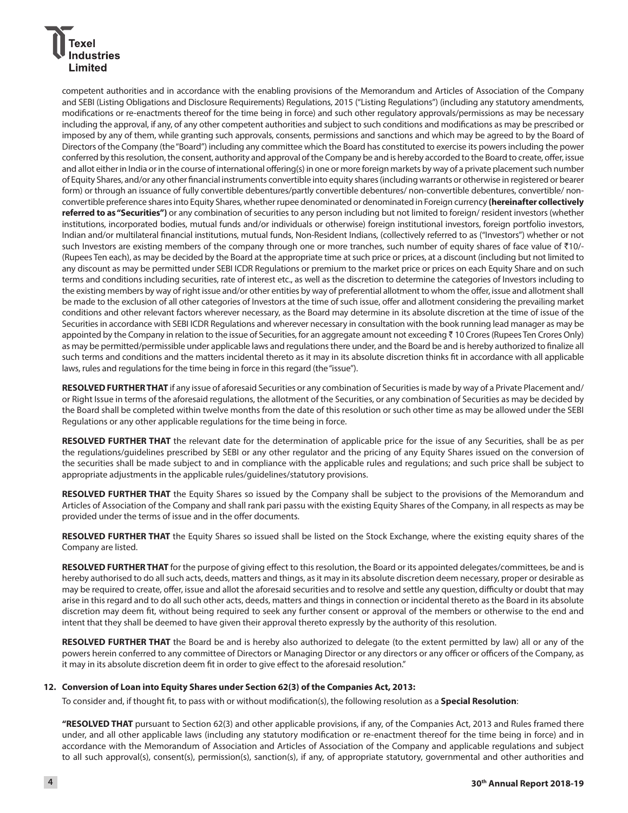## dustries Limited

competent authorities and in accordance with the enabling provisions of the Memorandum and Articles of Association of the Company and SEBI (Listing Obligations and Disclosure Requirements) Regulations, 2015 ("Listing Regulations") (including any statutory amendments, modifications or re-enactments thereof for the time being in force) and such other regulatory approvals/permissions as may be necessary including the approval, if any, of any other competent authorities and subject to such conditions and modifications as may be prescribed or imposed by any of them, while granting such approvals, consents, permissions and sanctions and which may be agreed to by the Board of Directors of the Company (the "Board") including any committee which the Board has constituted to exercise its powers including the power conferred by this resolution, the consent, authority and approval of the Company be and is hereby accorded to the Board to create, offer, issue and allot either in India or in the course of international offering(s) in one or more foreign markets by way of a private placement such number of Equity Shares, and/or any other financial instruments convertible into equity shares (including warrants or otherwise in registered or bearer form) or through an issuance of fully convertible debentures/partly convertible debentures/ non-convertible debentures, convertible/ nonconvertible preference shares into Equity Shares, whether rupee denominated or denominated in Foreign currency **(hereinafter collectively referred to as "Securities")** or any combination of securities to any person including but not limited to foreign/ resident investors (whether institutions, incorporated bodies, mutual funds and/or individuals or otherwise) foreign institutional investors, foreign portfolio investors, Indian and/or multilateral financial institutions, mutual funds, Non-Resident Indians, (collectively referred to as ("Investors") whether or not such Investors are existing members of the company through one or more tranches, such number of equity shares of face value of ₹10/-(Rupees Ten each), as may be decided by the Board at the appropriate time at such price or prices, at a discount (including but not limited to any discount as may be permitted under SEBI ICDR Regulations or premium to the market price or prices on each Equity Share and on such terms and conditions including securities, rate of interest etc., as well as the discretion to determine the categories of Investors including to the existing members by way of right issue and/or other entities by way of preferential allotment to whom the offer, issue and allotment shall be made to the exclusion of all other categories of Investors at the time of such issue, offer and allotment considering the prevailing market conditions and other relevant factors wherever necessary, as the Board may determine in its absolute discretion at the time of issue of the Securities in accordance with SEBI ICDR Regulations and wherever necessary in consultation with the book running lead manager as may be appointed by the Company in relation to the issue of Securities, for an aggregate amount not exceeding ₹ 10 Crores (Rupees Ten Crores Only) as may be permitted/permissible under applicable laws and regulations there under, and the Board be and is hereby authorized to finalize all such terms and conditions and the matters incidental thereto as it may in its absolute discretion thinks fit in accordance with all applicable laws, rules and regulations for the time being in force in this regard (the "issue").

 **RESOLVED FURTHER THAT** if any issue of aforesaid Securities or any combination of Securities is made by way of a Private Placement and/ or Right Issue in terms of the aforesaid regulations, the allotment of the Securities, or any combination of Securities as may be decided by the Board shall be completed within twelve months from the date of this resolution or such other time as may be allowed under the SEBI Regulations or any other applicable regulations for the time being in force.

 **RESOLVED FURTHER THAT** the relevant date for the determination of applicable price for the issue of any Securities, shall be as per the regulations/guidelines prescribed by SEBI or any other regulator and the pricing of any Equity Shares issued on the conversion of the securities shall be made subject to and in compliance with the applicable rules and regulations; and such price shall be subject to appropriate adjustments in the applicable rules/guidelines/statutory provisions.

 **RESOLVED FURTHER THAT** the Equity Shares so issued by the Company shall be subject to the provisions of the Memorandum and Articles of Association of the Company and shall rank pari passu with the existing Equity Shares of the Company, in all respects as may be provided under the terms of issue and in the offer documents.

 **RESOLVED FURTHER THAT** the Equity Shares so issued shall be listed on the Stock Exchange, where the existing equity shares of the Company are listed.

 **RESOLVED FURTHER THAT** for the purpose of giving effect to this resolution, the Board or its appointed delegates/committees, be and is hereby authorised to do all such acts, deeds, matters and things, as it may in its absolute discretion deem necessary, proper or desirable as may be required to create, offer, issue and allot the aforesaid securities and to resolve and settle any question, difficulty or doubt that may arise in this regard and to do all such other acts, deeds, matters and things in connection or incidental thereto as the Board in its absolute discretion may deem fit, without being required to seek any further consent or approval of the members or otherwise to the end and intent that they shall be deemed to have given their approval thereto expressly by the authority of this resolution.

 **RESOLVED FURTHER THAT** the Board be and is hereby also authorized to delegate (to the extent permitted by law) all or any of the powers herein conferred to any committee of Directors or Managing Director or any directors or any officer or officers of the Company, as it may in its absolute discretion deem fit in order to give effect to the aforesaid resolution."

#### **12. Conversion of Loan into Equity Shares under Section 62(3) of the Companies Act, 2013:**

To consider and, if thought fit, to pass with or without modification(s), the following resolution as a **Special Resolution**:

**"RESOLVED THAT** pursuant to Section 62(3) and other applicable provisions, if any, of the Companies Act, 2013 and Rules framed there under, and all other applicable laws (including any statutory modification or re-enactment thereof for the time being in force) and in accordance with the Memorandum of Association and Articles of Association of the Company and applicable regulations and subject to all such approval(s), consent(s), permission(s), sanction(s), if any, of appropriate statutory, governmental and other authorities and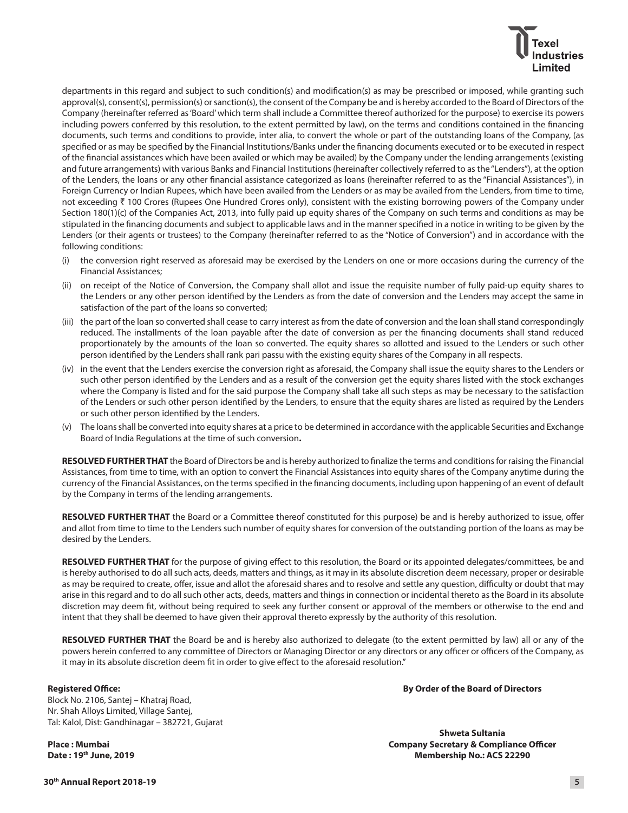departments in this regard and subject to such condition(s) and modification(s) as may be prescribed or imposed, while granting such approval(s), consent(s), permission(s) or sanction(s), the consent of the Company be and is hereby accorded to the Board of Directors of the Company (hereinafter referred as 'Board' which term shall include a Committee thereof authorized for the purpose) to exercise its powers including powers conferred by this resolution, to the extent permitted by law), on the terms and conditions contained in the financing documents, such terms and conditions to provide, inter alia, to convert the whole or part of the outstanding loans of the Company, (as specified or as may be specified by the Financial Institutions/Banks under the financing documents executed or to be executed in respect of the financial assistances which have been availed or which may be availed) by the Company under the lending arrangements (existing and future arrangements) with various Banks and Financial Institutions (hereinafter collectively referred to as the "Lenders"), at the option of the Lenders, the loans or any other financial assistance categorized as loans (hereinafter referred to as the "Financial Assistances"), in Foreign Currency or Indian Rupees, which have been availed from the Lenders or as may be availed from the Lenders, from time to time, not exceeding ₹ 100 Crores (Rupees One Hundred Crores only), consistent with the existing borrowing powers of the Company under Section 180(1)(c) of the Companies Act, 2013, into fully paid up equity shares of the Company on such terms and conditions as may be stipulated in the financing documents and subject to applicable laws and in the manner specified in a notice in writing to be given by the Lenders (or their agents or trustees) to the Company (hereinafter referred to as the "Notice of Conversion") and in accordance with the following conditions:

- (i) the conversion right reserved as aforesaid may be exercised by the Lenders on one or more occasions during the currency of the Financial Assistances;
- (ii) on receipt of the Notice of Conversion, the Company shall allot and issue the requisite number of fully paid-up equity shares to the Lenders or any other person identified by the Lenders as from the date of conversion and the Lenders may accept the same in satisfaction of the part of the loans so converted;
- (iii) the part of the loan so converted shall cease to carry interest as from the date of conversion and the loan shall stand correspondingly reduced. The installments of the loan payable after the date of conversion as per the financing documents shall stand reduced proportionately by the amounts of the loan so converted. The equity shares so allotted and issued to the Lenders or such other person identified by the Lenders shall rank pari passu with the existing equity shares of the Company in all respects.
- (iv) in the event that the Lenders exercise the conversion right as aforesaid, the Company shall issue the equity shares to the Lenders or such other person identified by the Lenders and as a result of the conversion get the equity shares listed with the stock exchanges where the Company is listed and for the said purpose the Company shall take all such steps as may be necessary to the satisfaction of the Lenders or such other person identified by the Lenders, to ensure that the equity shares are listed as required by the Lenders or such other person identified by the Lenders.
- (v) The loans shall be converted into equity shares at a price to be determined in accordance with the applicable Securities and Exchange Board of India Regulations at the time of such conversion**.**

**RESOLVED FURTHER THAT** the Board of Directors be and is hereby authorized to finalize the terms and conditions for raising the Financial Assistances, from time to time, with an option to convert the Financial Assistances into equity shares of the Company anytime during the currency of the Financial Assistances, on the terms specified in the financing documents, including upon happening of an event of default by the Company in terms of the lending arrangements.

 **RESOLVED FURTHER THAT** the Board or a Committee thereof constituted for this purpose) be and is hereby authorized to issue, offer and allot from time to time to the Lenders such number of equity shares for conversion of the outstanding portion of the loans as may be desired by the Lenders.

 **RESOLVED FURTHER THAT** for the purpose of giving effect to this resolution, the Board or its appointed delegates/committees, be and is hereby authorised to do all such acts, deeds, matters and things, as it may in its absolute discretion deem necessary, proper or desirable as may be required to create, offer, issue and allot the aforesaid shares and to resolve and settle any question, difficulty or doubt that may arise in this regard and to do all such other acts, deeds, matters and things in connection or incidental thereto as the Board in its absolute discretion may deem fit, without being required to seek any further consent or approval of the members or otherwise to the end and intent that they shall be deemed to have given their approval thereto expressly by the authority of this resolution.

 **RESOLVED FURTHER THAT** the Board be and is hereby also authorized to delegate (to the extent permitted by law) all or any of the powers herein conferred to any committee of Directors or Managing Director or any directors or any officer or officers of the Company, as it may in its absolute discretion deem fit in order to give effect to the aforesaid resolution."

#### **Registered Office:**

Block No. 2106, Santej – Khatraj Road, Nr. Shah Alloys Limited, Village Santej, Tal: Kalol, Dist: Gandhinagar – 382721, Gujarat

**Place : Mumbai Date : 19th June, 2019** **By Order of the Board of Directors**

**Shweta Sultania Company Secretary & Compliance Officer Membership No.: ACS 22290**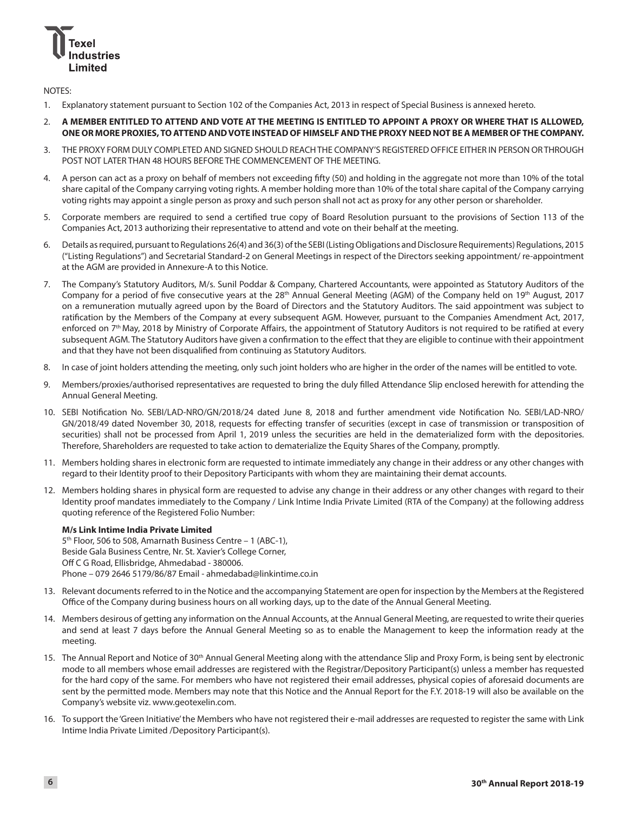

NOTES:

1. Explanatory statement pursuant to Section 102 of the Companies Act, 2013 in respect of Special Business is annexed hereto.

#### 2. **A MEMBER ENTITLED TO ATTEND AND VOTE AT THE MEETING IS ENTITLED TO APPOINT A PROXY OR WHERE THAT IS ALLOWED, ONE OR MORE PROXIES, TO ATTEND AND VOTE INSTEAD OF HIMSELF AND THE PROXY NEED NOT BE A MEMBER OF THE COMPANY.**

- 3. THE PROXY FORM DULY COMPLETED AND SIGNED SHOULD REACH THE COMPANY'S REGISTERED OFFICE EITHER IN PERSON OR THROUGH POST NOT LATER THAN 48 HOURS BEFORE THE COMMENCEMENT OF THE MEETING.
- 4. A person can act as a proxy on behalf of members not exceeding fifty (50) and holding in the aggregate not more than 10% of the total share capital of the Company carrying voting rights. A member holding more than 10% of the total share capital of the Company carrying voting rights may appoint a single person as proxy and such person shall not act as proxy for any other person or shareholder.
- 5. Corporate members are required to send a certified true copy of Board Resolution pursuant to the provisions of Section 113 of the Companies Act, 2013 authorizing their representative to attend and vote on their behalf at the meeting.
- 6. Details as required, pursuant to Regulations 26(4) and 36(3) of the SEBI (Listing Obligations and Disclosure Requirements) Regulations, 2015 ("Listing Regulations") and Secretarial Standard-2 on General Meetings in respect of the Directors seeking appointment/ re-appointment at the AGM are provided in Annexure-A to this Notice.
- 7. The Company's Statutory Auditors, M/s. Sunil Poddar & Company, Chartered Accountants, were appointed as Statutory Auditors of the Company for a period of five consecutive years at the 28<sup>th</sup> Annual General Meeting (AGM) of the Company held on 19<sup>th</sup> August, 2017 on a remuneration mutually agreed upon by the Board of Directors and the Statutory Auditors. The said appointment was subject to ratification by the Members of the Company at every subsequent AGM. However, pursuant to the Companies Amendment Act, 2017, enforced on 7<sup>th</sup> May, 2018 by Ministry of Corporate Affairs, the appointment of Statutory Auditors is not required to be ratified at every subsequent AGM. The Statutory Auditors have given a confirmation to the effect that they are eligible to continue with their appointment and that they have not been disqualified from continuing as Statutory Auditors.
- 8. In case of joint holders attending the meeting, only such joint holders who are higher in the order of the names will be entitled to vote.
- 9. Members/proxies/authorised representatives are requested to bring the duly filled Attendance Slip enclosed herewith for attending the Annual General Meeting.
- 10. SEBI Notification No. SEBI/LAD-NRO/GN/2018/24 dated June 8, 2018 and further amendment vide Notification No. SEBI/LAD-NRO/ GN/2018/49 dated November 30, 2018, requests for effecting transfer of securities (except in case of transmission or transposition of securities) shall not be processed from April 1, 2019 unless the securities are held in the dematerialized form with the depositories. Therefore, Shareholders are requested to take action to dematerialize the Equity Shares of the Company, promptly.
- 11. Members holding shares in electronic form are requested to intimate immediately any change in their address or any other changes with regard to their Identity proof to their Depository Participants with whom they are maintaining their demat accounts.
- 12. Members holding shares in physical form are requested to advise any change in their address or any other changes with regard to their Identity proof mandates immediately to the Company / Link Intime India Private Limited (RTA of the Company) at the following address quoting reference of the Registered Folio Number:

#### **M/s Link Intime India Private Limited**

5<sup>th</sup> Floor, 506 to 508, Amarnath Business Centre - 1 (ABC-1), Beside Gala Business Centre, Nr. St. Xavier's College Corner, Off C G Road, Ellisbridge, Ahmedabad - 380006. Phone – 079 2646 5179/86/87 Email - ahmedabad@linkintime.co.in

- 13. Relevant documents referred to in the Notice and the accompanying Statement are open for inspection by the Members at the Registered Office of the Company during business hours on all working days, up to the date of the Annual General Meeting.
- 14. Members desirous of getting any information on the Annual Accounts, at the Annual General Meeting, are requested to write their queries and send at least 7 days before the Annual General Meeting so as to enable the Management to keep the information ready at the meeting.
- 15. The Annual Report and Notice of 30<sup>th</sup> Annual General Meeting along with the attendance Slip and Proxy Form, is being sent by electronic mode to all members whose email addresses are registered with the Registrar/Depository Participant(s) unless a member has requested for the hard copy of the same. For members who have not registered their email addresses, physical copies of aforesaid documents are sent by the permitted mode. Members may note that this Notice and the Annual Report for the F.Y. 2018-19 will also be available on the Company's website viz. www.geotexelin.com.
- 16. To support the 'Green Initiative' the Members who have not registered their e-mail addresses are requested to register the same with Link Intime India Private Limited /Depository Participant(s).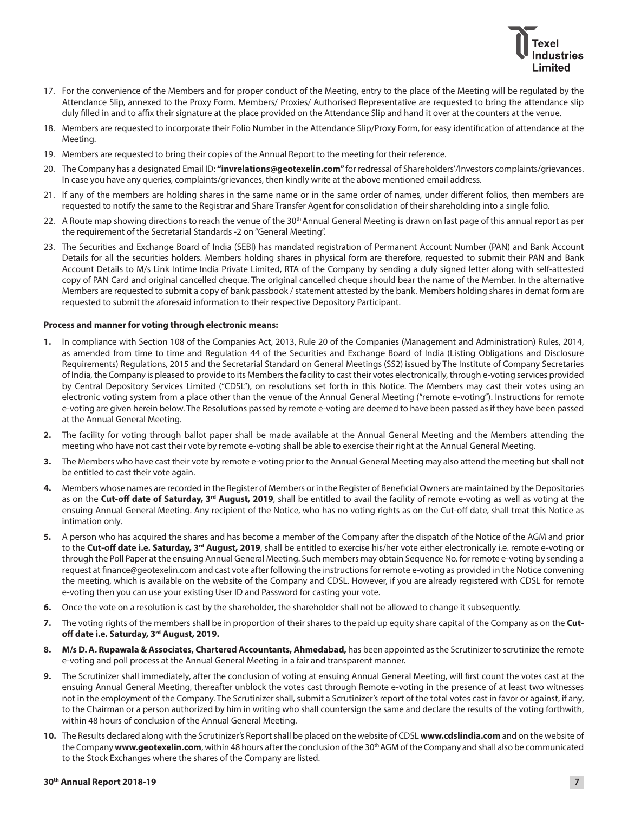

- 17. For the convenience of the Members and for proper conduct of the Meeting, entry to the place of the Meeting will be regulated by the Attendance Slip, annexed to the Proxy Form. Members/ Proxies/ Authorised Representative are requested to bring the attendance slip duly filled in and to affix their signature at the place provided on the Attendance Slip and hand it over at the counters at the venue.
- 18. Members are requested to incorporate their Folio Number in the Attendance Slip/Proxy Form, for easy identification of attendance at the Meeting.
- 19. Members are requested to bring their copies of the Annual Report to the meeting for their reference.
- 20. The Company has a designated Email ID: **"invrelations@geotexelin.com"** for redressal of Shareholders'/Investors complaints/grievances. In case you have any queries, complaints/grievances, then kindly write at the above mentioned email address.
- 21. If any of the members are holding shares in the same name or in the same order of names, under different folios, then members are requested to notify the same to the Registrar and Share Transfer Agent for consolidation of their shareholding into a single folio.
- 22. A Route map showing directions to reach the venue of the 30<sup>th</sup> Annual General Meeting is drawn on last page of this annual report as per the requirement of the Secretarial Standards -2 on "General Meeting".
- 23. The Securities and Exchange Board of India (SEBI) has mandated registration of Permanent Account Number (PAN) and Bank Account Details for all the securities holders. Members holding shares in physical form are therefore, requested to submit their PAN and Bank Account Details to M/s Link Intime India Private Limited, RTA of the Company by sending a duly signed letter along with self-attested copy of PAN Card and original cancelled cheque. The original cancelled cheque should bear the name of the Member. In the alternative Members are requested to submit a copy of bank passbook / statement attested by the bank. Members holding shares in demat form are requested to submit the aforesaid information to their respective Depository Participant.

#### **Process and manner for voting through electronic means:**

- **1.** In compliance with Section 108 of the Companies Act, 2013, Rule 20 of the Companies (Management and Administration) Rules, 2014, as amended from time to time and Regulation 44 of the Securities and Exchange Board of India (Listing Obligations and Disclosure Requirements) Regulations, 2015 and the Secretarial Standard on General Meetings (SS2) issued by The Institute of Company Secretaries of India, the Company is pleased to provide to its Members the facility to cast their votes electronically, through e-voting services provided by Central Depository Services Limited ("CDSL"), on resolutions set forth in this Notice. The Members may cast their votes using an electronic voting system from a place other than the venue of the Annual General Meeting ("remote e-voting"). Instructions for remote e-voting are given herein below. The Resolutions passed by remote e-voting are deemed to have been passed as if they have been passed at the Annual General Meeting.
- **2.** The facility for voting through ballot paper shall be made available at the Annual General Meeting and the Members attending the meeting who have not cast their vote by remote e-voting shall be able to exercise their right at the Annual General Meeting.
- **3.** The Members who have cast their vote by remote e-voting prior to the Annual General Meeting may also attend the meeting but shall not be entitled to cast their vote again.
- **4.** Members whose names are recorded in the Register of Members or in the Register of Beneficial Owners are maintained by the Depositories as on the **Cut-off date of Saturday, 3<sup>rd</sup> August, 2019**, shall be entitled to avail the facility of remote e-voting as well as voting at the ensuing Annual General Meeting. Any recipient of the Notice, who has no voting rights as on the Cut-off date, shall treat this Notice as intimation only.
- **5.** A person who has acquired the shares and has become a member of the Company after the dispatch of the Notice of the AGM and prior to the **Cut-off date i.e. Saturday, 3<sup>rd</sup> August, 2019**, shall be entitled to exercise his/her vote either electronically i.e. remote e-voting or through the Poll Paper at the ensuing Annual General Meeting. Such members may obtain Sequence No. for remote e-voting by sending a request at finance@geotexelin.com and cast vote after following the instructions for remote e-voting as provided in the Notice convening the meeting, which is available on the website of the Company and CDSL. However, if you are already registered with CDSL for remote e-voting then you can use your existing User ID and Password for casting your vote.
- **6.** Once the vote on a resolution is cast by the shareholder, the shareholder shall not be allowed to change it subsequently.
- **7.** The voting rights of the members shall be in proportion of their shares to the paid up equity share capital of the Company as on the **Cutoff date i.e. Saturday, 3rd August, 2019.**
- **8. M/s D. A. Rupawala & Associates, Chartered Accountants, Ahmedabad,** has been appointed as the Scrutinizer to scrutinize the remote e-voting and poll process at the Annual General Meeting in a fair and transparent manner.
- **9.** The Scrutinizer shall immediately, after the conclusion of voting at ensuing Annual General Meeting, will first count the votes cast at the ensuing Annual General Meeting, thereafter unblock the votes cast through Remote e-voting in the presence of at least two witnesses not in the employment of the Company. The Scrutinizer shall, submit a Scrutinizer's report of the total votes cast in favor or against, if any, to the Chairman or a person authorized by him in writing who shall countersign the same and declare the results of the voting forthwith, within 48 hours of conclusion of the Annual General Meeting.
- **10.** The Results declared along with the Scrutinizer's Report shall be placed on the website of CDSL **www.cdslindia.com** and on the website of the Company **www.geotexelin.com**, within 48 hours after the conclusion of the 30th AGM of the Company and shall also be communicated to the Stock Exchanges where the shares of the Company are listed.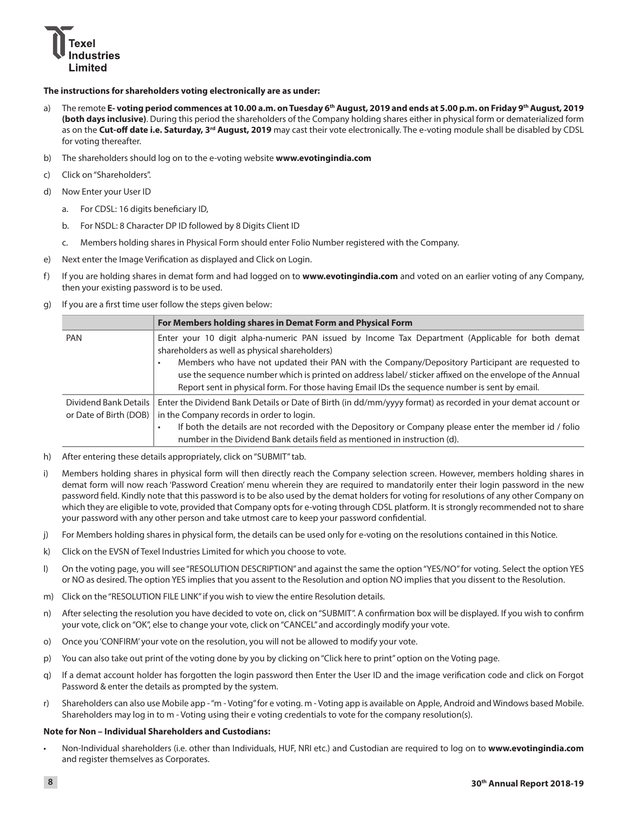

#### **The instructions for shareholders voting electronically are as under:**

- a) The remote **E- voting period commences at 10.00 a.m. on Tuesday 6th August, 2019 and ends at 5.00 p.m. on Friday 9th August, 2019 (both days inclusive)**. During this period the shareholders of the Company holding shares either in physical form or dematerialized form as on the **Cut-off date i.e. Saturday, 3<sup>rd</sup> August, 2019** may cast their vote electronically. The e-voting module shall be disabled by CDSL for voting thereafter.
- b) The shareholders should log on to the e-voting website **www.evotingindia.com**
- c) Click on "Shareholders".
- d) Now Enter your User ID
	- a. For CDSL: 16 digits beneficiary ID,
	- b. For NSDL: 8 Character DP ID followed by 8 Digits Client ID
	- c. Members holding shares in Physical Form should enter Folio Number registered with the Company.
- e) Next enter the Image Verification as displayed and Click on Login.
- f) If you are holding shares in demat form and had logged on to **www.evotingindia.com** and voted on an earlier voting of any Company, then your existing password is to be used.
- g) If you are a first time user follow the steps given below:

|                        | For Members holding shares in Demat Form and Physical Form                                                                                                                                                                                                                                                                                                        |  |  |
|------------------------|-------------------------------------------------------------------------------------------------------------------------------------------------------------------------------------------------------------------------------------------------------------------------------------------------------------------------------------------------------------------|--|--|
| <b>PAN</b>             | Enter your 10 digit alpha-numeric PAN issued by Income Tax Department (Applicable for both demat<br>shareholders as well as physical shareholders)<br>Members who have not updated their PAN with the Company/Depository Participant are requested to<br>use the sequence number which is printed on address label/ sticker affixed on the envelope of the Annual |  |  |
|                        | Report sent in physical form. For those having Email IDs the sequence number is sent by email.                                                                                                                                                                                                                                                                    |  |  |
| Dividend Bank Details  | Enter the Dividend Bank Details or Date of Birth (in dd/mm/yyyy format) as recorded in your demat account or                                                                                                                                                                                                                                                      |  |  |
| or Date of Birth (DOB) | in the Company records in order to login.                                                                                                                                                                                                                                                                                                                         |  |  |
|                        | If both the details are not recorded with the Depository or Company please enter the member id / folio<br>number in the Dividend Bank details field as mentioned in instruction (d).                                                                                                                                                                              |  |  |

- h) After entering these details appropriately, click on "SUBMIT" tab.
- i) Members holding shares in physical form will then directly reach the Company selection screen. However, members holding shares in demat form will now reach 'Password Creation' menu wherein they are required to mandatorily enter their login password in the new password field. Kindly note that this password is to be also used by the demat holders for voting for resolutions of any other Company on which they are eligible to vote, provided that Company opts for e-voting through CDSL platform. It is strongly recommended not to share your password with any other person and take utmost care to keep your password confidential.
- j) For Members holding shares in physical form, the details can be used only for e-voting on the resolutions contained in this Notice.
- k) Click on the EVSN of Texel Industries Limited for which you choose to vote.
- l) On the voting page, you will see "RESOLUTION DESCRIPTION" and against the same the option "YES/NO" for voting. Select the option YES or NO as desired. The option YES implies that you assent to the Resolution and option NO implies that you dissent to the Resolution.
- m) Click on the "RESOLUTION FILE LINK" if you wish to view the entire Resolution details.
- n) After selecting the resolution you have decided to vote on, click on "SUBMIT". A confirmation box will be displayed. If you wish to confirm your vote, click on "OK", else to change your vote, click on "CANCEL" and accordingly modify your vote.
- o) Once you 'CONFIRM' your vote on the resolution, you will not be allowed to modify your vote.
- p) You can also take out print of the voting done by you by clicking on "Click here to print" option on the Voting page.
- q) If a demat account holder has forgotten the login password then Enter the User ID and the image verification code and click on Forgot Password & enter the details as prompted by the system.
- r) Shareholders can also use Mobile app "m Voting" for e voting. m Voting app is available on Apple, Android and Windows based Mobile. Shareholders may log in to m - Voting using their e voting credentials to vote for the company resolution(s).

#### **Note for Non – Individual Shareholders and Custodians:**

Non-Individual shareholders (i.e. other than Individuals, HUF, NRI etc.) and Custodian are required to log on to www.evotingindia.com and register themselves as Corporates.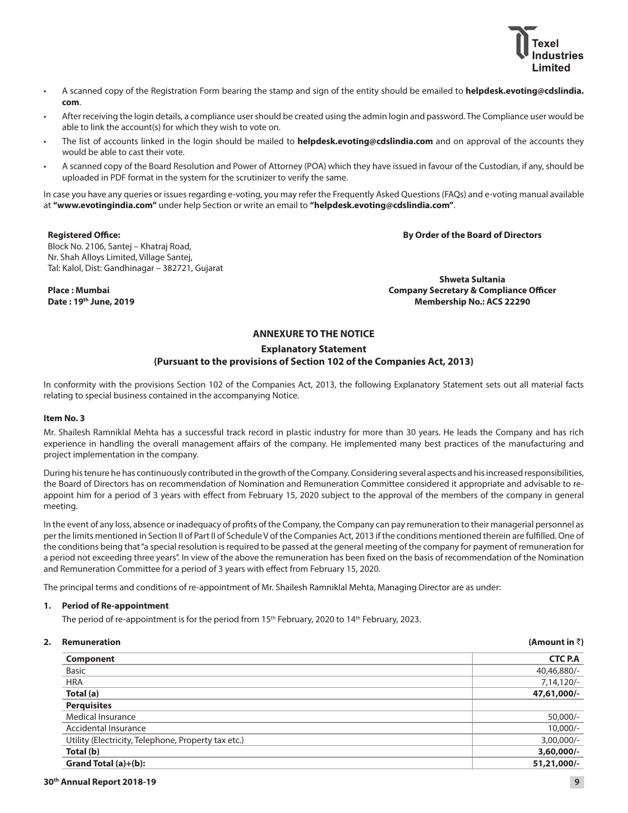

- A scanned copy of the Registration Form bearing the stamp and sign of the entity should be emailed to **helpdesk.evoting@cdslindia. com**.
- After receiving the login details, a compliance user should be created using the admin login and password. The Compliance user would be able to link the account(s) for which they wish to vote on.
- The list of accounts linked in the login should be mailed to helpdesk.evoting@cdslindia.com and on approval of the accounts they would be able to cast their vote.
- A scanned copy of the Board Resolution and Power of Attorney (POA) which they have issued in favour of the Custodian, if any, should be uploaded in PDF format in the system for the scrutinizer to verify the same.

In case you have any queries or issues regarding e-voting, you may refer the Frequently Asked Questions (FAQs) and e-voting manual available at **"www.evotingindia.com"** under help Section or write an email to **"helpdesk.evoting@cdslindia.com"**.

#### **Registered Office:**

**By Order of the Board of Directors**

Block No. 2106, Santej – Khatraj Road, Nr. Shah Alloys Limited, Village Santej, Tal: Kalol, Dist: Gandhinagar – 382721, Gujarat

**Place : Mumbai Date : 19th June, 2019**

**Shweta Sultania Company Secretary & Compliance Officer Membership No.: ACS 22290**

#### **ANNEXURE TO THE NOTICE**

#### **Explanatory Statement**

#### **(Pursuant to the provisions of Section 102 of the Companies Act, 2013)**

In conformity with the provisions Section 102 of the Companies Act, 2013, the following Explanatory Statement sets out all material facts relating to special business contained in the accompanying Notice.

#### **Item No. 3**

Mr. Shailesh Ramniklal Mehta has a successful track record in plastic industry for more than 30 years. He leads the Company and has rich experience in handling the overall management affairs of the company. He implemented many best practices of the manufacturing and project implementation in the company.

During his tenure he has continuously contributed in the growth of the Company. Considering several aspects and his increased responsibilities, the Board of Directors has on recommendation of Nomination and Remuneration Committee considered it appropriate and advisable to reappoint him for a period of 3 years with effect from February 15, 2020 subject to the approval of the members of the company in general meeting.

In the event of any loss, absence or inadequacy of profits of the Company, the Company can pay remuneration to their managerial personnel as per the limits mentioned in Section II of Part II of Schedule V of the Companies Act, 2013 if the conditions mentioned therein are fulfilled. One of the conditions being that "a special resolution is required to be passed at the general meeting of the company for payment of remuneration for a period not exceeding three years". In view of the above the remuneration has been fixed on the basis of recommendation of the Nomination and Remuneration Committee for a period of 3 years with effect from February 15, 2020.

The principal terms and conditions of re-appointment of Mr. Shailesh Ramniklal Mehta, Managing Director are as under:

#### **1. Period of Re-appointment**

The period of re-appointment is for the period from 15<sup>th</sup> February, 2020 to 14<sup>th</sup> February, 2023.

| 2. | <b>Remuneration</b>                                 | (Amount in $\bar{z}$ ) |
|----|-----------------------------------------------------|------------------------|
|    | Component                                           | <b>CTC P.A</b>         |
|    | <b>Basic</b>                                        | 40,46,880/-            |
|    | <b>HRA</b>                                          | 7,14,120/-             |
|    | Total (a)                                           | 47,61,000/-            |
|    | <b>Perquisites</b>                                  |                        |
|    | Medical Insurance                                   | 50,000/-               |
|    | Accidental Insurance                                | $10.000/-$             |
|    | Utility (Electricity, Telephone, Property tax etc.) | $3,00,000/-$           |
|    | Total (b)                                           | $3,60,000/-$           |
|    | Grand Total (a)+(b):                                | 51,21,000/-            |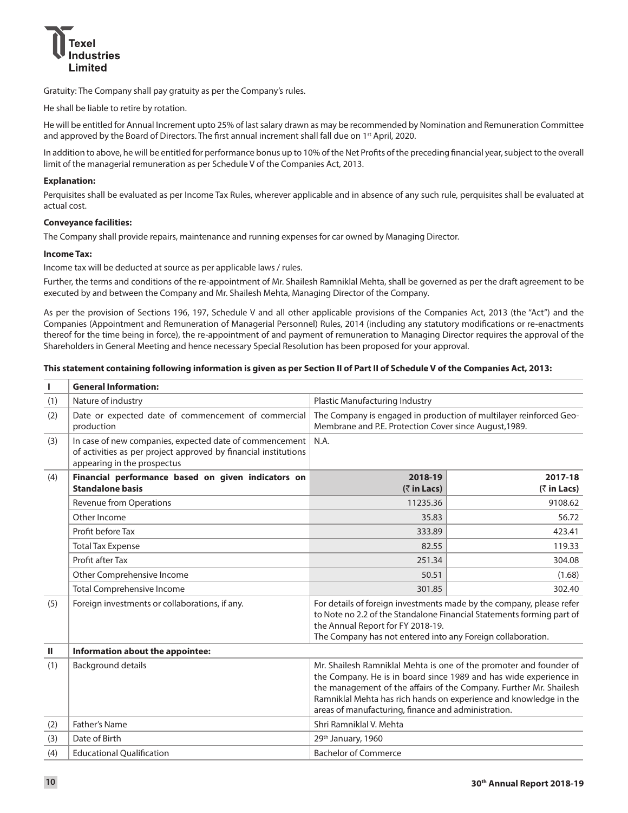

Gratuity: The Company shall pay gratuity as per the Company's rules.

He shall be liable to retire by rotation.

He will be entitled for Annual Increment upto 25% of last salary drawn as may be recommended by Nomination and Remuneration Committee and approved by the Board of Directors. The first annual increment shall fall due on 1<sup>st</sup> April, 2020.

In addition to above, he will be entitled for performance bonus up to 10% of the Net Profits of the preceding financial year, subject to the overall limit of the managerial remuneration as per Schedule V of the Companies Act, 2013.

#### **Explanation:**

Perquisites shall be evaluated as per Income Tax Rules, wherever applicable and in absence of any such rule, perquisites shall be evaluated at actual cost.

#### **Conveyance facilities:**

The Company shall provide repairs, maintenance and running expenses for car owned by Managing Director.

#### **Income Tax:**

Income tax will be deducted at source as per applicable laws / rules.

Further, the terms and conditions of the re-appointment of Mr. Shailesh Ramniklal Mehta, shall be governed as per the draft agreement to be executed by and between the Company and Mr. Shailesh Mehta, Managing Director of the Company.

As per the provision of Sections 196, 197, Schedule V and all other applicable provisions of the Companies Act, 2013 (the "Act") and the Companies (Appointment and Remuneration of Managerial Personnel) Rules, 2014 (including any statutory modifications or re-enactments thereof for the time being in force), the re-appointment of and payment of remuneration to Managing Director requires the approval of the Shareholders in General Meeting and hence necessary Special Resolution has been proposed for your approval.

#### **This statement containing following information is given as per Section II of Part II of Schedule V of the Companies Act, 2013:**

| L.  | <b>General Information:</b>                                                                                                                               |                                                                                                                                                                                                                                                                                                                                           |                                       |  |  |  |
|-----|-----------------------------------------------------------------------------------------------------------------------------------------------------------|-------------------------------------------------------------------------------------------------------------------------------------------------------------------------------------------------------------------------------------------------------------------------------------------------------------------------------------------|---------------------------------------|--|--|--|
| (1) | Nature of industry                                                                                                                                        | Plastic Manufacturing Industry                                                                                                                                                                                                                                                                                                            |                                       |  |  |  |
| (2) | Date or expected date of commencement of commercial<br>production                                                                                         | The Company is engaged in production of multilayer reinforced Geo-<br>Membrane and P.E. Protection Cover since August, 1989.                                                                                                                                                                                                              |                                       |  |  |  |
| (3) | In case of new companies, expected date of commencement<br>of activities as per project approved by financial institutions<br>appearing in the prospectus | N.A.                                                                                                                                                                                                                                                                                                                                      |                                       |  |  |  |
| (4) | Financial performance based on given indicators on<br><b>Standalone basis</b>                                                                             | 2018-19<br>$(3\overline{5})$ in Lacs)                                                                                                                                                                                                                                                                                                     | 2017-18<br>$(3\overline{5})$ in Lacs) |  |  |  |
|     | Revenue from Operations                                                                                                                                   | 11235.36                                                                                                                                                                                                                                                                                                                                  | 9108.62                               |  |  |  |
|     | Other Income                                                                                                                                              | 35.83                                                                                                                                                                                                                                                                                                                                     | 56.72                                 |  |  |  |
|     | Profit before Tax                                                                                                                                         | 333.89                                                                                                                                                                                                                                                                                                                                    | 423.41                                |  |  |  |
|     | <b>Total Tax Expense</b>                                                                                                                                  | 82.55                                                                                                                                                                                                                                                                                                                                     | 119.33                                |  |  |  |
|     | Profit after Tax                                                                                                                                          | 251.34                                                                                                                                                                                                                                                                                                                                    | 304.08                                |  |  |  |
|     | Other Comprehensive Income                                                                                                                                | 50.51                                                                                                                                                                                                                                                                                                                                     | (1.68)                                |  |  |  |
|     | <b>Total Comprehensive Income</b>                                                                                                                         | 301.85                                                                                                                                                                                                                                                                                                                                    | 302.40                                |  |  |  |
| (5) | Foreign investments or collaborations, if any.                                                                                                            | For details of foreign investments made by the company, please refer<br>to Note no 2.2 of the Standalone Financial Statements forming part of<br>the Annual Report for FY 2018-19.<br>The Company has not entered into any Foreign collaboration.                                                                                         |                                       |  |  |  |
| Ш   | Information about the appointee:                                                                                                                          |                                                                                                                                                                                                                                                                                                                                           |                                       |  |  |  |
| (1) | <b>Background details</b>                                                                                                                                 | Mr. Shailesh Ramniklal Mehta is one of the promoter and founder of<br>the Company. He is in board since 1989 and has wide experience in<br>the management of the affairs of the Company. Further Mr. Shailesh<br>Ramniklal Mehta has rich hands on experience and knowledge in the<br>areas of manufacturing, finance and administration. |                                       |  |  |  |
| (2) | Father's Name                                                                                                                                             | Shri Ramniklal V. Mehta                                                                                                                                                                                                                                                                                                                   |                                       |  |  |  |
| (3) | Date of Birth                                                                                                                                             | 29th January, 1960                                                                                                                                                                                                                                                                                                                        |                                       |  |  |  |
| (4) | <b>Educational Qualification</b>                                                                                                                          | <b>Bachelor of Commerce</b>                                                                                                                                                                                                                                                                                                               |                                       |  |  |  |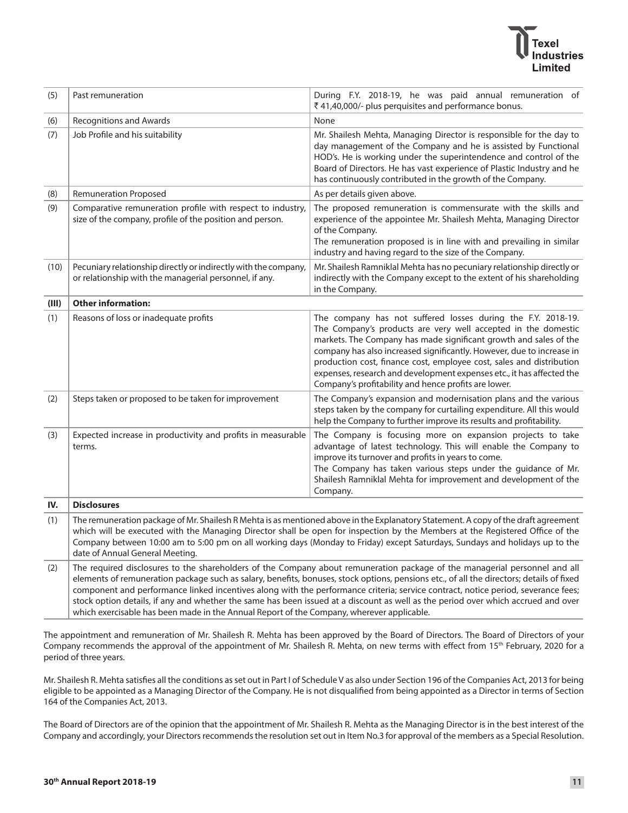# dustries

| (5)   | Past remuneration                                                                                                                                                                                                                                                                                                                                                                                                                                                                                                                                                                 | During F.Y. 2018-19, he was paid annual remuneration of<br>₹41,40,000/- plus perquisites and performance bonus.                                                                                                                                                                                                                                                                                                                                                                      |  |  |
|-------|-----------------------------------------------------------------------------------------------------------------------------------------------------------------------------------------------------------------------------------------------------------------------------------------------------------------------------------------------------------------------------------------------------------------------------------------------------------------------------------------------------------------------------------------------------------------------------------|--------------------------------------------------------------------------------------------------------------------------------------------------------------------------------------------------------------------------------------------------------------------------------------------------------------------------------------------------------------------------------------------------------------------------------------------------------------------------------------|--|--|
| (6)   | <b>Recognitions and Awards</b>                                                                                                                                                                                                                                                                                                                                                                                                                                                                                                                                                    | None                                                                                                                                                                                                                                                                                                                                                                                                                                                                                 |  |  |
| (7)   | Job Profile and his suitability                                                                                                                                                                                                                                                                                                                                                                                                                                                                                                                                                   | Mr. Shailesh Mehta, Managing Director is responsible for the day to<br>day management of the Company and he is assisted by Functional<br>HOD's. He is working under the superintendence and control of the<br>Board of Directors. He has vast experience of Plastic Industry and he<br>has continuously contributed in the growth of the Company.                                                                                                                                    |  |  |
| (8)   | <b>Remuneration Proposed</b>                                                                                                                                                                                                                                                                                                                                                                                                                                                                                                                                                      | As per details given above.                                                                                                                                                                                                                                                                                                                                                                                                                                                          |  |  |
| (9)   | Comparative remuneration profile with respect to industry,<br>size of the company, profile of the position and person.                                                                                                                                                                                                                                                                                                                                                                                                                                                            | The proposed remuneration is commensurate with the skills and<br>experience of the appointee Mr. Shailesh Mehta, Managing Director<br>of the Company.<br>The remuneration proposed is in line with and prevailing in similar<br>industry and having regard to the size of the Company.                                                                                                                                                                                               |  |  |
| (10)  | Pecuniary relationship directly or indirectly with the company,<br>or relationship with the managerial personnel, if any.                                                                                                                                                                                                                                                                                                                                                                                                                                                         | Mr. Shailesh Ramniklal Mehta has no pecuniary relationship directly or<br>indirectly with the Company except to the extent of his shareholding<br>in the Company.                                                                                                                                                                                                                                                                                                                    |  |  |
| (III) | <b>Other information:</b>                                                                                                                                                                                                                                                                                                                                                                                                                                                                                                                                                         |                                                                                                                                                                                                                                                                                                                                                                                                                                                                                      |  |  |
| (1)   | Reasons of loss or inadequate profits                                                                                                                                                                                                                                                                                                                                                                                                                                                                                                                                             | The company has not suffered losses during the F.Y. 2018-19.<br>The Company's products are very well accepted in the domestic<br>markets. The Company has made significant growth and sales of the<br>company has also increased significantly. However, due to increase in<br>production cost, finance cost, employee cost, sales and distribution<br>expenses, research and development expenses etc., it has affected the<br>Company's profitability and hence profits are lower. |  |  |
| (2)   | Steps taken or proposed to be taken for improvement                                                                                                                                                                                                                                                                                                                                                                                                                                                                                                                               | The Company's expansion and modernisation plans and the various<br>steps taken by the company for curtailing expenditure. All this would<br>help the Company to further improve its results and profitability.                                                                                                                                                                                                                                                                       |  |  |
| (3)   | Expected increase in productivity and profits in measurable<br>terms.                                                                                                                                                                                                                                                                                                                                                                                                                                                                                                             | The Company is focusing more on expansion projects to take<br>advantage of latest technology. This will enable the Company to<br>improve its turnover and profits in years to come.<br>The Company has taken various steps under the guidance of Mr.<br>Shailesh Ramniklal Mehta for improvement and development of the<br>Company.                                                                                                                                                  |  |  |
| IV.   | <b>Disclosures</b>                                                                                                                                                                                                                                                                                                                                                                                                                                                                                                                                                                |                                                                                                                                                                                                                                                                                                                                                                                                                                                                                      |  |  |
| (1)   | The remuneration package of Mr. Shailesh R Mehta is as mentioned above in the Explanatory Statement. A copy of the draft agreement<br>which will be executed with the Managing Director shall be open for inspection by the Members at the Registered Office of the<br>Company between 10:00 am to 5:00 pm on all working days (Monday to Friday) except Saturdays, Sundays and holidays up to the<br>date of Annual General Meeting.                                                                                                                                             |                                                                                                                                                                                                                                                                                                                                                                                                                                                                                      |  |  |
| (2)   | The required disclosures to the shareholders of the Company about remuneration package of the managerial personnel and all<br>elements of remuneration package such as salary, benefits, bonuses, stock options, pensions etc., of all the directors; details of fixed<br>component and performance linked incentives along with the performance criteria; service contract, notice period, severance fees;<br>$\mathbf{1}$ , $\mathbf{1}$ , $\mathbf{1}$ , $\mathbf{1}$ , $\mathbf{1}$ , $\mathbf{1}$ , $\mathbf{1}$ , $\mathbf{1}$ , $\mathbf{1}$ , $\mathbf{1}$ , $\mathbf{1}$ |                                                                                                                                                                                                                                                                                                                                                                                                                                                                                      |  |  |

stock option details, if any and whether the same has been issued at a discount as well as the period over which accrued and over which exercisable has been made in the Annual Report of the Company, wherever applicable.

The appointment and remuneration of Mr. Shailesh R. Mehta has been approved by the Board of Directors. The Board of Directors of your Company recommends the approval of the appointment of Mr. Shailesh R. Mehta, on new terms with effect from 15<sup>th</sup> February, 2020 for a period of three years.

Mr. Shailesh R. Mehta satisfies all the conditions as set out in Part I of Schedule V as also under Section 196 of the Companies Act, 2013 for being eligible to be appointed as a Managing Director of the Company. He is not disqualified from being appointed as a Director in terms of Section 164 of the Companies Act, 2013.

The Board of Directors are of the opinion that the appointment of Mr. Shailesh R. Mehta as the Managing Director is in the best interest of the Company and accordingly, your Directors recommends the resolution set out in Item No.3 for approval of the members as a Special Resolution.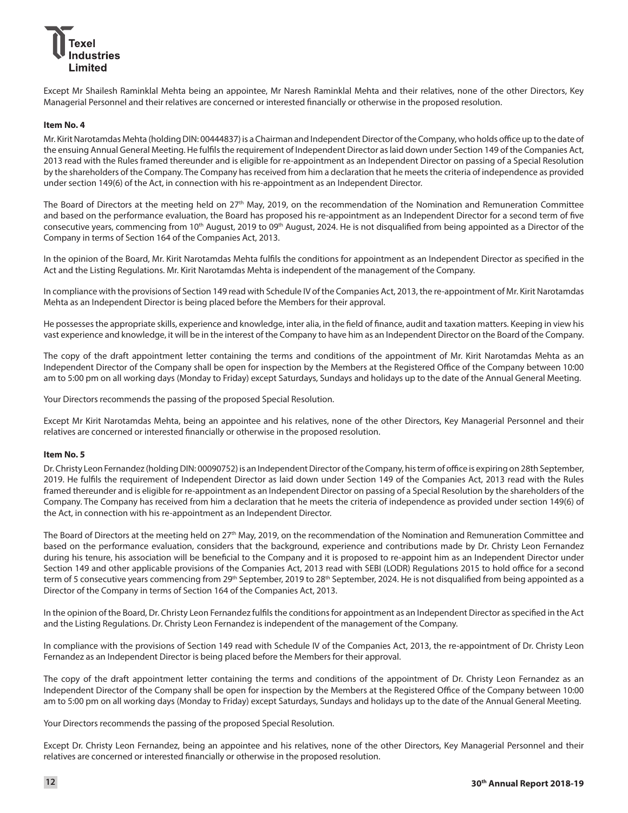Except Mr Shailesh Raminklal Mehta being an appointee, Mr Naresh Raminklal Mehta and their relatives, none of the other Directors, Key Managerial Personnel and their relatives are concerned or interested financially or otherwise in the proposed resolution.

#### **Item No. 4**

Mr. Kirit Narotamdas Mehta (holding DIN: 00444837) is a Chairman and Independent Director of the Company, who holds office up to the date of the ensuing Annual General Meeting. He fulfils the requirement of Independent Director as laid down under Section 149 of the Companies Act, 2013 read with the Rules framed thereunder and is eligible for re-appointment as an Independent Director on passing of a Special Resolution by the shareholders of the Company. The Company has received from him a declaration that he meets the criteria of independence as provided under section 149(6) of the Act, in connection with his re-appointment as an Independent Director.

The Board of Directors at the meeting held on 27<sup>th</sup> May, 2019, on the recommendation of the Nomination and Remuneration Committee and based on the performance evaluation, the Board has proposed his re-appointment as an Independent Director for a second term of five consecutive years, commencing from 10<sup>th</sup> August, 2019 to 09<sup>th</sup> August, 2024. He is not disqualified from being appointed as a Director of the Company in terms of Section 164 of the Companies Act, 2013.

In the opinion of the Board, Mr. Kirit Narotamdas Mehta fulfils the conditions for appointment as an Independent Director as specified in the Act and the Listing Regulations. Mr. Kirit Narotamdas Mehta is independent of the management of the Company.

In compliance with the provisions of Section 149 read with Schedule IV of the Companies Act, 2013, the re-appointment of Mr. Kirit Narotamdas Mehta as an Independent Director is being placed before the Members for their approval.

He possesses the appropriate skills, experience and knowledge, inter alia, in the field of finance, audit and taxation matters. Keeping in view his vast experience and knowledge, it will be in the interest of the Company to have him as an Independent Director on the Board of the Company.

The copy of the draft appointment letter containing the terms and conditions of the appointment of Mr. Kirit Narotamdas Mehta as an Independent Director of the Company shall be open for inspection by the Members at the Registered Office of the Company between 10:00 am to 5:00 pm on all working days (Monday to Friday) except Saturdays, Sundays and holidays up to the date of the Annual General Meeting.

Your Directors recommends the passing of the proposed Special Resolution.

Except Mr Kirit Narotamdas Mehta, being an appointee and his relatives, none of the other Directors, Key Managerial Personnel and their relatives are concerned or interested financially or otherwise in the proposed resolution.

#### **Item No. 5**

Dr. Christy Leon Fernandez (holding DIN: 00090752) is an Independent Director of the Company, his term of office is expiring on 28th September, 2019. He fulfils the requirement of Independent Director as laid down under Section 149 of the Companies Act, 2013 read with the Rules framed thereunder and is eligible for re-appointment as an Independent Director on passing of a Special Resolution by the shareholders of the Company. The Company has received from him a declaration that he meets the criteria of independence as provided under section 149(6) of the Act, in connection with his re-appointment as an Independent Director.

The Board of Directors at the meeting held on 27<sup>th</sup> May, 2019, on the recommendation of the Nomination and Remuneration Committee and based on the performance evaluation, considers that the background, experience and contributions made by Dr. Christy Leon Fernandez during his tenure, his association will be beneficial to the Company and it is proposed to re-appoint him as an Independent Director under Section 149 and other applicable provisions of the Companies Act, 2013 read with SEBI (LODR) Regulations 2015 to hold office for a second term of 5 consecutive years commencing from 29<sup>th</sup> September, 2019 to 28<sup>th</sup> September, 2024. He is not disqualified from being appointed as a Director of the Company in terms of Section 164 of the Companies Act, 2013.

In the opinion of the Board, Dr. Christy Leon Fernandez fulfils the conditions for appointment as an Independent Director as specified in the Act and the Listing Regulations. Dr. Christy Leon Fernandez is independent of the management of the Company.

In compliance with the provisions of Section 149 read with Schedule IV of the Companies Act, 2013, the re-appointment of Dr. Christy Leon Fernandez as an Independent Director is being placed before the Members for their approval.

The copy of the draft appointment letter containing the terms and conditions of the appointment of Dr. Christy Leon Fernandez as an Independent Director of the Company shall be open for inspection by the Members at the Registered Office of the Company between 10:00 am to 5:00 pm on all working days (Monday to Friday) except Saturdays, Sundays and holidays up to the date of the Annual General Meeting.

Your Directors recommends the passing of the proposed Special Resolution.

Except Dr. Christy Leon Fernandez, being an appointee and his relatives, none of the other Directors, Key Managerial Personnel and their relatives are concerned or interested financially or otherwise in the proposed resolution.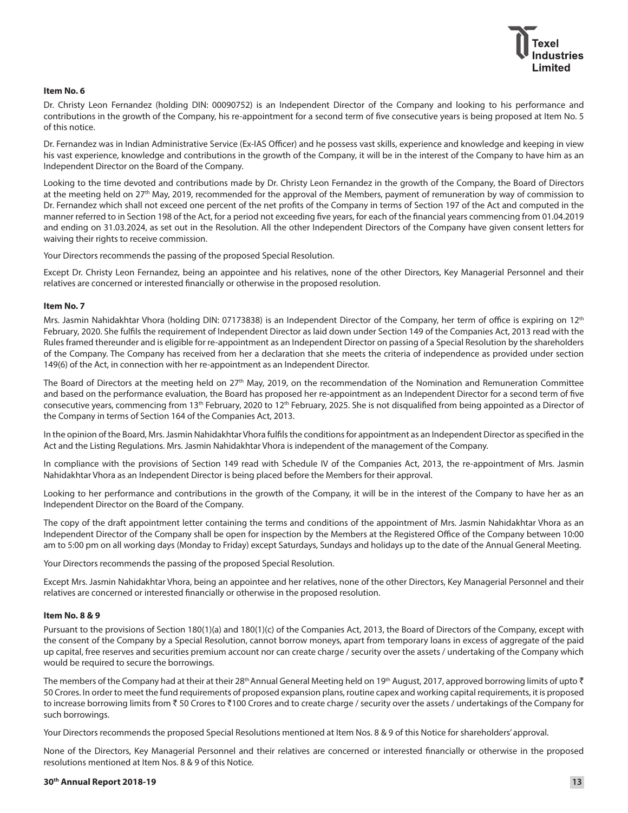#### **Item No. 6**

Dr. Christy Leon Fernandez (holding DIN: 00090752) is an Independent Director of the Company and looking to his performance and contributions in the growth of the Company, his re-appointment for a second term of five consecutive years is being proposed at Item No. 5 of this notice.

Dr. Fernandez was in Indian Administrative Service (Ex-IAS Officer) and he possess vast skills, experience and knowledge and keeping in view his vast experience, knowledge and contributions in the growth of the Company, it will be in the interest of the Company to have him as an Independent Director on the Board of the Company.

Looking to the time devoted and contributions made by Dr. Christy Leon Fernandez in the growth of the Company, the Board of Directors at the meeting held on 27<sup>th</sup> May, 2019, recommended for the approval of the Members, payment of remuneration by way of commission to Dr. Fernandez which shall not exceed one percent of the net profits of the Company in terms of Section 197 of the Act and computed in the manner referred to in Section 198 of the Act, for a period not exceeding five years, for each of the financial years commencing from 01.04.2019 and ending on 31.03.2024, as set out in the Resolution. All the other Independent Directors of the Company have given consent letters for waiving their rights to receive commission.

Your Directors recommends the passing of the proposed Special Resolution.

Except Dr. Christy Leon Fernandez, being an appointee and his relatives, none of the other Directors, Key Managerial Personnel and their relatives are concerned or interested financially or otherwise in the proposed resolution.

#### **Item No. 7**

Mrs. Jasmin Nahidakhtar Vhora (holding DIN: 07173838) is an Independent Director of the Company, her term of office is expiring on 12<sup>th</sup> February, 2020. She fulfils the requirement of Independent Director as laid down under Section 149 of the Companies Act, 2013 read with the Rules framed thereunder and is eligible for re-appointment as an Independent Director on passing of a Special Resolution by the shareholders of the Company. The Company has received from her a declaration that she meets the criteria of independence as provided under section 149(6) of the Act, in connection with her re-appointment as an Independent Director.

The Board of Directors at the meeting held on 27<sup>th</sup> May, 2019, on the recommendation of the Nomination and Remuneration Committee and based on the performance evaluation, the Board has proposed her re-appointment as an Independent Director for a second term of five consecutive years, commencing from 13<sup>th</sup> February, 2020 to 12<sup>th</sup> February, 2025. She is not disqualified from being appointed as a Director of the Company in terms of Section 164 of the Companies Act, 2013.

In the opinion of the Board, Mrs. Jasmin Nahidakhtar Vhora fulfils the conditions for appointment as an Independent Director as specified in the Act and the Listing Regulations. Mrs. Jasmin Nahidakhtar Vhora is independent of the management of the Company.

In compliance with the provisions of Section 149 read with Schedule IV of the Companies Act, 2013, the re-appointment of Mrs. Jasmin Nahidakhtar Vhora as an Independent Director is being placed before the Members for their approval.

Looking to her performance and contributions in the growth of the Company, it will be in the interest of the Company to have her as an Independent Director on the Board of the Company.

The copy of the draft appointment letter containing the terms and conditions of the appointment of Mrs. Jasmin Nahidakhtar Vhora as an Independent Director of the Company shall be open for inspection by the Members at the Registered Office of the Company between 10:00 am to 5:00 pm on all working days (Monday to Friday) except Saturdays, Sundays and holidays up to the date of the Annual General Meeting.

Your Directors recommends the passing of the proposed Special Resolution.

Except Mrs. Jasmin Nahidakhtar Vhora, being an appointee and her relatives, none of the other Directors, Key Managerial Personnel and their relatives are concerned or interested financially or otherwise in the proposed resolution.

#### **Item No. 8 & 9**

Pursuant to the provisions of Section 180(1)(a) and 180(1)(c) of the Companies Act, 2013, the Board of Directors of the Company, except with the consent of the Company by a Special Resolution, cannot borrow moneys, apart from temporary loans in excess of aggregate of the paid up capital, free reserves and securities premium account nor can create charge / security over the assets / undertaking of the Company which would be required to secure the borrowings.

The members of the Company had at their at their 28<sup>th</sup> Annual General Meeting held on 19<sup>th</sup> August, 2017, approved borrowing limits of upto  $\bar{\tau}$ 50 Crores. In order to meet the fund requirements of proposed expansion plans, routine capex and working capital requirements, it is proposed to increase borrowing limits from ₹50 Crores to ₹100 Crores and to create charge / security over the assets / undertakings of the Company for such borrowings.

Your Directors recommends the proposed Special Resolutions mentioned at Item Nos. 8 & 9 of this Notice for shareholders' approval.

None of the Directors, Key Managerial Personnel and their relatives are concerned or interested financially or otherwise in the proposed resolutions mentioned at Item Nos. 8 & 9 of this Notice.

#### **30th Annual Report 2018-19 13**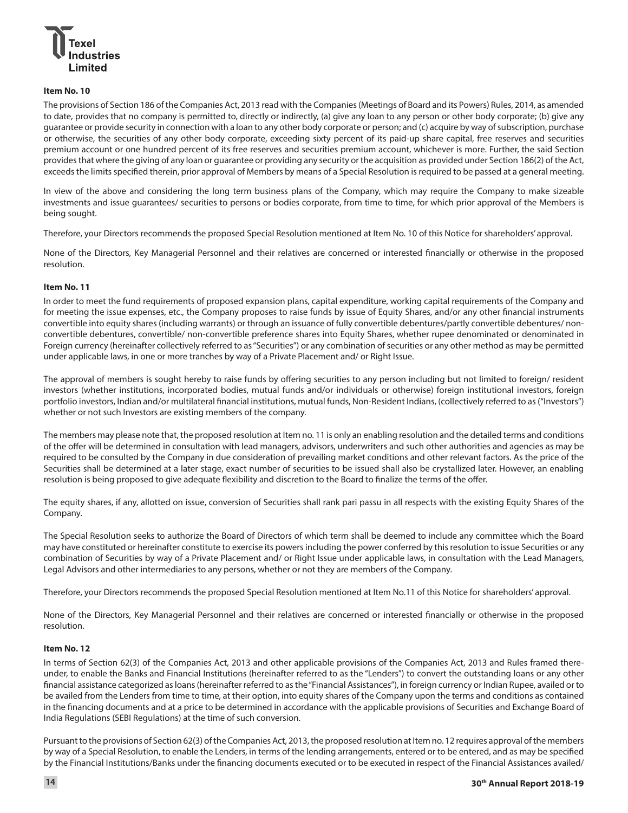

#### **Item No. 10**

The provisions of Section 186 of the Companies Act, 2013 read with the Companies (Meetings of Board and its Powers) Rules, 2014, as amended to date, provides that no company is permitted to, directly or indirectly, (a) give any loan to any person or other body corporate; (b) give any guarantee or provide security in connection with a loan to any other body corporate or person; and (c) acquire by way of subscription, purchase or otherwise, the securities of any other body corporate, exceeding sixty percent of its paid-up share capital, free reserves and securities premium account or one hundred percent of its free reserves and securities premium account, whichever is more. Further, the said Section provides that where the giving of any loan or guarantee or providing any security or the acquisition as provided under Section 186(2) of the Act, exceeds the limits specified therein, prior approval of Members by means of a Special Resolution is required to be passed at a general meeting.

In view of the above and considering the long term business plans of the Company, which may require the Company to make sizeable investments and issue guarantees/ securities to persons or bodies corporate, from time to time, for which prior approval of the Members is being sought.

Therefore, your Directors recommends the proposed Special Resolution mentioned at Item No. 10 of this Notice for shareholders' approval.

None of the Directors, Key Managerial Personnel and their relatives are concerned or interested financially or otherwise in the proposed resolution.

#### **Item No. 11**

In order to meet the fund requirements of proposed expansion plans, capital expenditure, working capital requirements of the Company and for meeting the issue expenses, etc., the Company proposes to raise funds by issue of Equity Shares, and/or any other financial instruments convertible into equity shares (including warrants) or through an issuance of fully convertible debentures/partly convertible debentures/ nonconvertible debentures, convertible/ non-convertible preference shares into Equity Shares, whether rupee denominated or denominated in Foreign currency (hereinafter collectively referred to as "Securities") or any combination of securities or any other method as may be permitted under applicable laws, in one or more tranches by way of a Private Placement and/ or Right Issue.

The approval of members is sought hereby to raise funds by offering securities to any person including but not limited to foreign/ resident investors (whether institutions, incorporated bodies, mutual funds and/or individuals or otherwise) foreign institutional investors, foreign portfolio investors, Indian and/or multilateral financial institutions, mutual funds, Non-Resident Indians, (collectively referred to as ("Investors") whether or not such Investors are existing members of the company.

The members may please note that, the proposed resolution at Item no. 11 is only an enabling resolution and the detailed terms and conditions of the offer will be determined in consultation with lead managers, advisors, underwriters and such other authorities and agencies as may be required to be consulted by the Company in due consideration of prevailing market conditions and other relevant factors. As the price of the Securities shall be determined at a later stage, exact number of securities to be issued shall also be crystallized later. However, an enabling resolution is being proposed to give adequate flexibility and discretion to the Board to finalize the terms of the offer.

The equity shares, if any, allotted on issue, conversion of Securities shall rank pari passu in all respects with the existing Equity Shares of the Company.

The Special Resolution seeks to authorize the Board of Directors of which term shall be deemed to include any committee which the Board may have constituted or hereinafter constitute to exercise its powers including the power conferred by this resolution to issue Securities or any combination of Securities by way of a Private Placement and/ or Right Issue under applicable laws, in consultation with the Lead Managers, Legal Advisors and other intermediaries to any persons, whether or not they are members of the Company.

Therefore, your Directors recommends the proposed Special Resolution mentioned at Item No.11 of this Notice for shareholders' approval.

None of the Directors, Key Managerial Personnel and their relatives are concerned or interested financially or otherwise in the proposed resolution.

#### **Item No. 12**

In terms of Section 62(3) of the Companies Act, 2013 and other applicable provisions of the Companies Act, 2013 and Rules framed thereunder, to enable the Banks and Financial Institutions (hereinafter referred to as the "Lenders") to convert the outstanding loans or any other financial assistance categorized as loans (hereinafter referred to as the "Financial Assistances"), in foreign currency or Indian Rupee, availed or to be availed from the Lenders from time to time, at their option, into equity shares of the Company upon the terms and conditions as contained in the financing documents and at a price to be determined in accordance with the applicable provisions of Securities and Exchange Board of India Regulations (SEBI Regulations) at the time of such conversion.

Pursuant to the provisions of Section 62(3) of the Companies Act, 2013, the proposed resolution at Item no. 12 requires approval of the members by way of a Special Resolution, to enable the Lenders, in terms of the lending arrangements, entered or to be entered, and as may be specified by the Financial Institutions/Banks under the financing documents executed or to be executed in respect of the Financial Assistances availed/